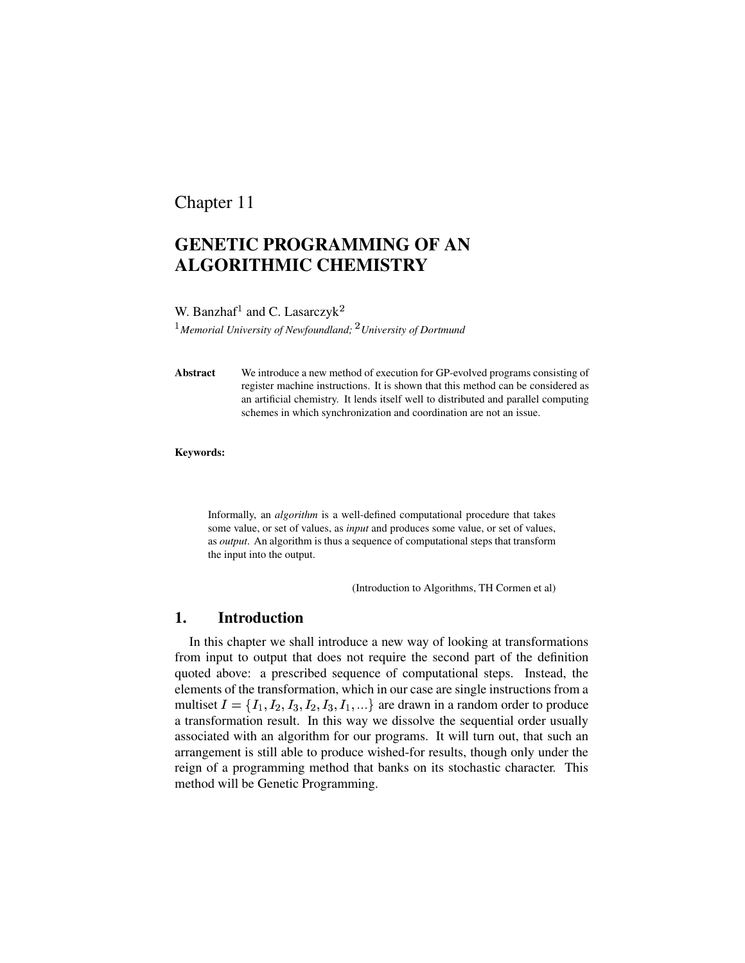## Chapter 11

# GENETIC PROGRAMMING OF AN ALGORITHMIC CHEMISTRY

W. Banzhaf $^1$  and C. Lasarczyk $^2$ 

 $^1$ Memorial University of Newfoundland;  $^2$ University of Dortmund

Abstract We introduce a new method of execution for GP-evolved programs consisting of register machine instructions. It is shown that this method can be considered as an artificial chemistry. It lends itself well to distributed and parallel computing schemes in which synchronization and coordination are not an issue.

#### Keywords:

Informally, an algorithm is a well-defined computational procedure that takes some value, or set of values, as *input* and produces some value, or set of values, as output. An algorithm is thus a sequence of computational steps that transform the input into the output.

(Introduction to Algorithms, TH Cormen et al)

## 1. Introduction

In this chapter we shall introduce a new way of looking at transformations from input to output that does not require the second part of the definition quoted above: a prescribed sequence of computational steps. Instead, the elements of the transformation, which in our case are single instructions from a multiset  $I = \{I_1, I_2, I_3, I_2, I_3, I_1, ...\}$  are drawn in a random order to produce a transformation result. In this way we dissolve the sequential order usually associated with an algorithm for our programs. It will turn out, that such an arrangement is still able to produce wished-for results, though only under the reign of a programming method that banks on its stochastic character. This method will be Genetic Programming.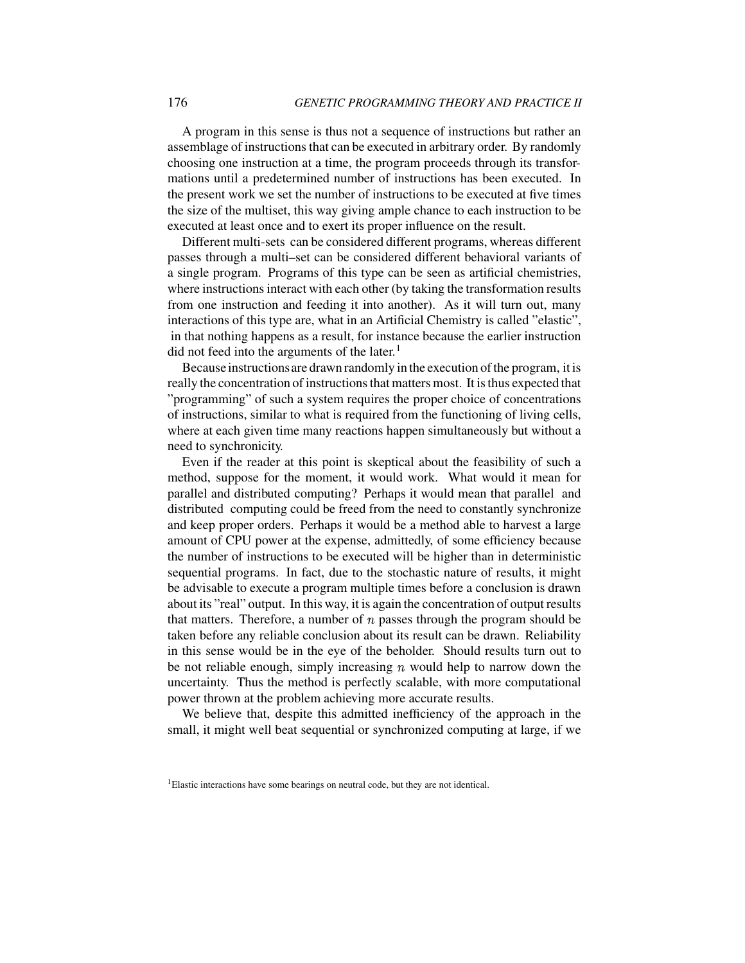A program in this sense is thus not a sequence of instructions but rather an assemblage of instructions that can be executed in arbitrary order. By randomly choosing one instruction at a time, the program proceeds through its transformations until a predetermined number of instructions has been executed. In the present work we set the number of instructions to be executed at five times the size of the multiset, this way giving ample chance to each instruction to be executed at least once and to exert its proper influence on the result.

Different multi-sets can be considered different programs, whereas different passes through a multi–set can be considered different behavioral variants of a single program. Programs of this type can be seen as artificial chemistries, where instructions interact with each other (by taking the transformation results from one instruction and feeding it into another). As it will turn out, many interactions of this type are, what in an Artificial Chemistry is called "elastic", in that nothing happens as a result, for instance because the earlier instruction did not feed into the arguments of the later.<sup>1</sup>

Because instructions are drawn randomly in the execution of the program, it is really the concentration of instructions that matters most. It is thus expected that "programming" of such a system requires the proper choice of concentrations of instructions, similar to what is required from the functioning of living cells, where at each given time many reactions happen simultaneously but without a need to synchronicity.

Even if the reader at this point is skeptical about the feasibility of such a method, suppose for the moment, it would work. What would it mean for parallel and distributed computing? Perhaps it would mean that parallel and distributed computing could be freed from the need to constantly synchronize and keep proper orders. Perhaps it would be a method able to harvest a large amount of CPU power at the expense, admittedly, of some efficiency because the number of instructions to be executed will be higher than in deterministic sequential programs. In fact, due to the stochastic nature of results, it might be advisable to execute a program multiple times before a conclusion is drawn about its "real" output. In this way, it is again the concentration of output results that matters. Therefore, a number of  $n$  passes through the program should be taken before any reliable conclusion about its result can be drawn. Reliability in this sense would be in the eye of the beholder. Should results turn out to be not reliable enough, simply increasing  $n$  would help to narrow down the uncertainty. Thus the method is perfectly scalable, with more computational power thrown at the problem achieving more accurate results.

We believe that, despite this admitted inefficiency of the approach in the small, it might well beat sequential or synchronized computing at large, if we

<sup>&</sup>lt;sup>1</sup>Elastic interactions have some bearings on neutral code, but they are not identical.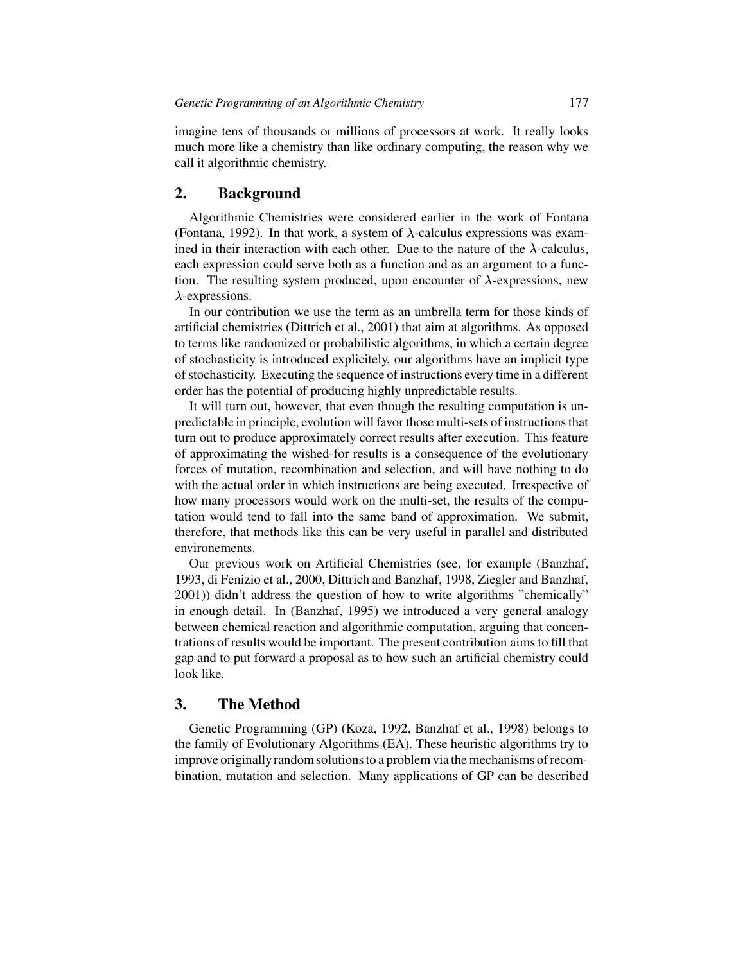imagine tens of thousands or millions of processors at work. It really looks much more like a chemistry than like ordinary computing, the reason why we call it algorithmic chemistry.

## 2. Background

Algorithmic Chemistries were considered earlier in the work of Fontana (Fontana, 1992). In that work, a system of  $\lambda$ -calculus expressions was examined in their interaction with each other. Due to the nature of the  $\lambda$ -calculus, each expression could serve both as a function and as an argument to a function. The resulting system produced, upon encounter of  $\lambda$ -expressions, new  $\lambda$ -expressions.

In our contribution we use the term as an umbrella term for those kinds of artificial chemistries (Dittrich et al., 2001) that aim at algorithms. As opposed to terms like randomized or probabilistic algorithms, in which a certain degree of stochasticity is introduced explicitely, our algorithms have an implicit type of stochasticity. Executing the sequence of instructions every time in a different order has the potential of producing highly unpredictable results.

It will turn out, however, that even though the resulting computation is unpredictable in principle, evolution will favor those multi-sets of instructionsthat turn out to produce approximately correct results after execution. This feature of approximating the wished-for results is a consequence of the evolutionary forces of mutation, recombination and selection, and will have nothing to do with the actual order in which instructions are being executed. Irrespective of how many processors would work on the multi-set, the results of the computation would tend to fall into the same band of approximation. We submit, therefore, that methods like this can be very useful in parallel and distributed environements.

Our previous work on Artificial Chemistries (see, for example (Banzhaf, 1993, di Fenizio et al., 2000, Dittrich and Banzhaf, 1998, Ziegler and Banzhaf, 2001)) didn't address the question of how to write algorithms "chemically" in enough detail. In (Banzhaf, 1995) we introduced a very general analogy between chemical reaction and algorithmic computation, arguing that concentrations of results would be important. The present contribution aims to fill that gap and to put forward a proposal as to how such an artificial chemistry could look like.

## 3. The Method

Genetic Programming (GP) (Koza, 1992, Banzhaf et al., 1998) belongs to the family of Evolutionary Algorithms (EA). These heuristic algorithms try to improve originally random solutions to a problem via the mechanisms of recombination, mutation and selection. Many applications of GP can be described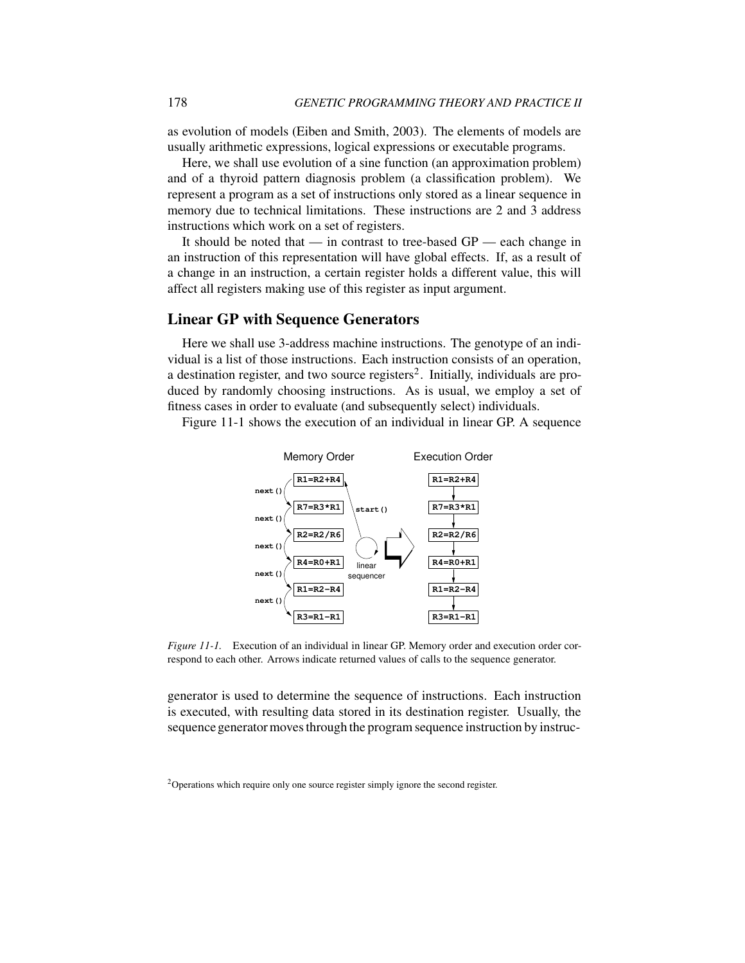as evolution of models (Eiben and Smith, 2003). The elements of models are usually arithmetic expressions, logical expressions or executable programs.

Here, we shall use evolution of a sine function (an approximation problem) and of a thyroid pattern diagnosis problem (a classification problem). We represent a program as a set of instructions only stored as a linear sequence in memory due to technical limitations. These instructions are 2 and 3 address instructions which work on a set of registers.

It should be noted that — in contrast to tree-based GP — each change in an instruction of this representation will have global effects. If, as a result of a change in an instruction, a certain register holds a different value, this will affect all registers making use of this register as input argument.

#### Linear GP with Sequence Generators

Here we shall use 3-address machine instructions. The genotype of an individual is a list of those instructions. Each instruction consists of an operation, a destination register, and two source registers<sup>2</sup>. Initially, individuals are produced by randomly choosing instructions. As is usual, we employ a set of fitness cases in order to evaluate (and subsequently select) individuals.

Figure 11-1 shows the execution of an individual in linear GP. A sequence



Figure 11-1. Execution of an individual in linear GP. Memory order and execution order correspond to each other. Arrows indicate returned values of calls to the sequence generator.

generator is used to determine the sequence of instructions. Each instruction is executed, with resulting data stored in its destination register. Usually, the sequence generator moves through the program sequence instruction by instruc-

<sup>2</sup>Operations which require only one source register simply ignore the second register.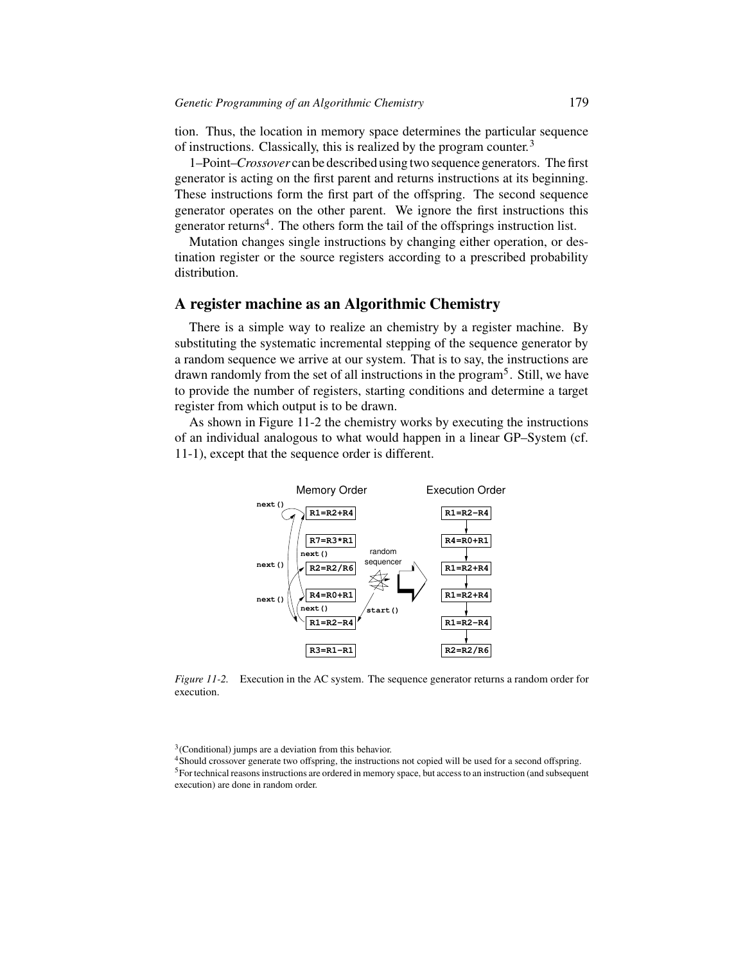tion. Thus, the location in memory space determines the particular sequence of instructions. Classically, this is realized by the program counter.<sup>3</sup>

1–Point–Crossover can be described using two sequence generators. Thefirst generator is acting on the first parent and returns instructions at its beginning. These instructions form the first part of the offspring. The second sequence generator operates on the other parent. We ignore the first instructions this generator returns<sup>4</sup>. The others form the tail of the offsprings instruction list.

Mutation changes single instructions by changing either operation, or destination register or the source registers according to a prescribed probability distribution.

## A register machine as an Algorithmic Chemistry

There is a simple way to realize an chemistry by a register machine. By substituting the systematic incremental stepping of the sequence generator by a random sequence we arrive at our system. That is to say, the instructions are drawn randomly from the set of all instructions in the program<sup>5</sup>. Still, we have to provide the number of registers, starting conditions and determine a target register from which output is to be drawn.

As shown in Figure 11-2 the chemistry works by executing the instructions of an individual analogous to what would happen in a linear GP–System (cf. 11-1), except that the sequence order is different.



Figure 11-2. Execution in the AC system. The sequence generator returns a random order for execution.

 $3$ (Conditional) jumps are a deviation from this behavior.

<sup>4</sup>Should crossover generate two offspring, the instructions not copied will be used for a second offspring. <sup>5</sup>For technical reasons instructions are ordered in memory space, but access to an instruction (and subsequent execution) are done in random order.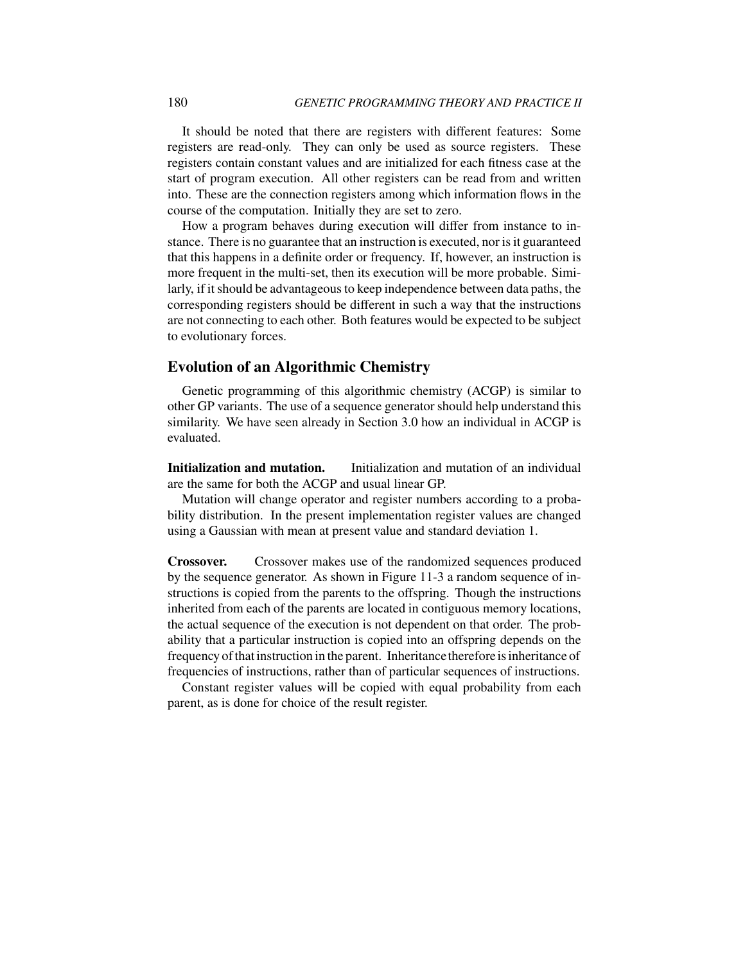It should be noted that there are registers with different features: Some registers are read-only. They can only be used as source registers. These registers contain constant values and are initialized for each fitness case at the start of program execution. All other registers can be read from and written into. These are the connection registers among which information flows in the course of the computation. Initially they are set to zero.

How a program behaves during execution will differ from instance to instance. There is no guarantee that an instruction is executed, nor is it guaranteed that this happens in a definite order or frequency. If, however, an instruction is more frequent in the multi-set, then its execution will be more probable. Similarly, if itshould be advantageousto keep independence between data paths, the corresponding registers should be different in such a way that the instructions are not connecting to each other. Both features would be expected to be subject to evolutionary forces.

### Evolution of an Algorithmic Chemistry

Genetic programming of this algorithmic chemistry (ACGP) is similar to other GP variants. The use of a sequence generator should help understand this similarity. We have seen already in Section 3.0 how an individual in ACGP is evaluated.

Initialization and mutation. Initialization and mutation of an individual are the same for both the ACGP and usual linear GP.

Mutation will change operator and register numbers according to a probability distribution. In the present implementation register values are changed using a Gaussian with mean at present value and standard deviation 1.

Crossover. Crossover makes use of the randomized sequences produced by the sequence generator. As shown in Figure 11-3 a random sequence of instructions is copied from the parents to the offspring. Though the instructions inherited from each of the parents are located in contiguous memory locations, the actual sequence of the execution is not dependent on that order. The probability that a particular instruction is copied into an offspring depends on the frequency of that instruction in the parent. Inheritance therefore is inheritance of frequencies of instructions, rather than of particular sequences of instructions.

Constant register values will be copied with equal probability from each parent, as is done for choice of the result register.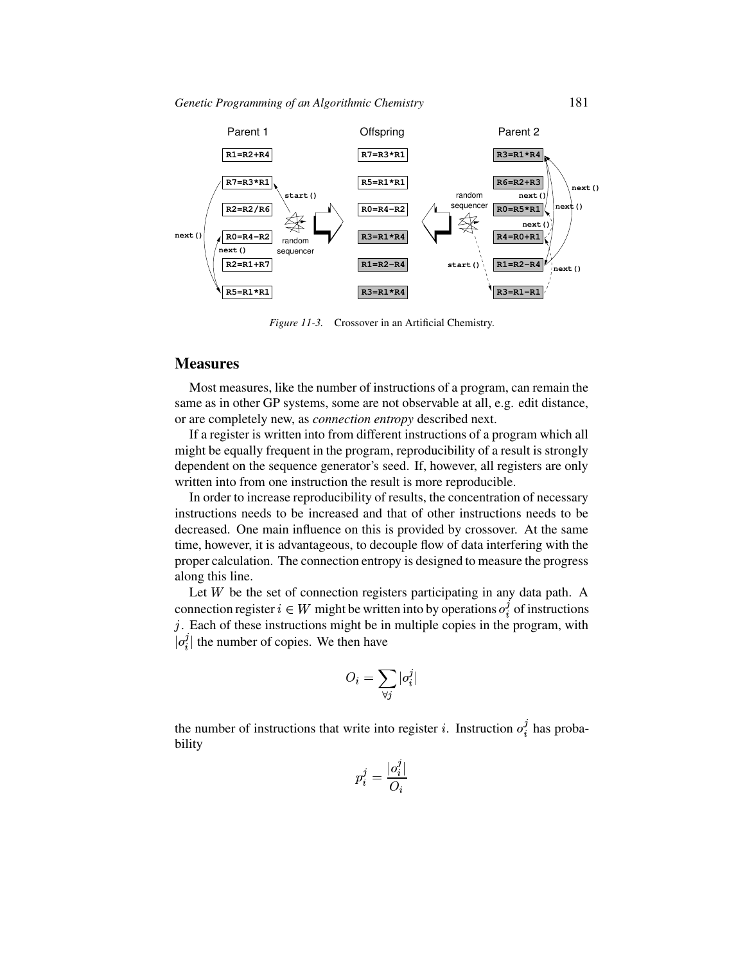

Figure 11-3. Crossover in an Artificial Chemistry.

#### **Measures**

Most measures, like the number of instructions of a program, can remain the same as in other GP systems, some are not observable at all, e.g. edit distance, or are completely new, as connection entropy described next.

If a register is written into from different instructions of a program which all might be equally frequent in the program, reproducibility of a result is strongly dependent on the sequence generator's seed. If, however, all registers are only written into from one instruction the result is more reproducible.

In order to increase reproducibility of results, the concentration of necessary instructions needs to be increased and that of other instructions needs to be decreased. One main influence on this is provided by crossover. At the same time, however, it is advantageous, to decouple flow of data interfering with the proper calculation. The connection entropy is designed to measure the progress along this line.

Let  $W$  be the set of connection registers participating in any data path. A connection register  $i \in W$  might be written into by operations  $o_i^j$  of instructions  $j$ . Each of these instructions might be in multiple copies in the program, with and the contract of the contract of  $t_i^j$  the number of copies. We then have

$$
O_i = \sum_{\forall j} |o_i^j|
$$

the number of instructions that write into register *i*. Instruction  $o_i^j$  has probability

$$
p_i^j = \frac{|o_i^j|}{O_i}
$$

the contract of the contract of the contract of the contract of the contract of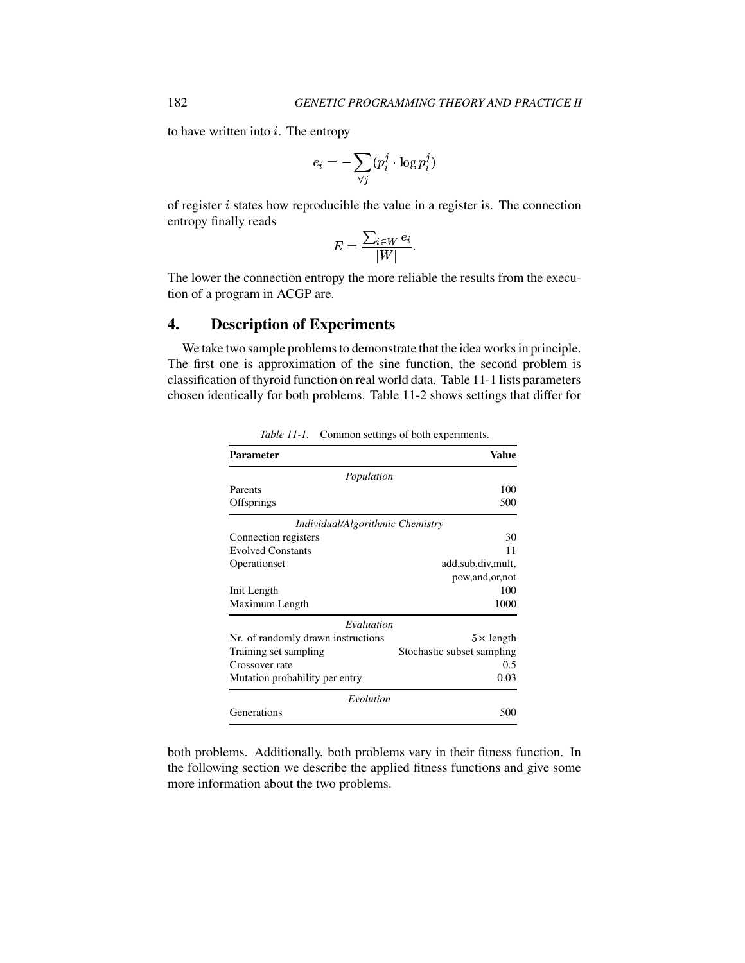to have written into  $i$ . The entropy

$$
e_i = -\sum_{\forall j} (p_i^j \cdot \log p_i^j)
$$

of register  $i$  states how reproducible the value in a register is. The connection entropy finally reads

$$
E = \frac{\sum_{i \in W} e_i}{|W|}.
$$

The lower the connection entropy the more reliable the results from the execution of a program in ACGP are.

#### 4. Description of Experiments

We take two sample problems to demonstrate that the idea works in principle. The first one is approximation of the sine function, the second problem is classification of thyroid function on real world data. Table 11-1 lists parameters chosen identically for both problems. Table 11-2 shows settings that differ for

| <b>Parameter</b>                   | Value                      |
|------------------------------------|----------------------------|
| Population                         |                            |
| Parents                            | 100                        |
| Offsprings                         | 500                        |
| Individual/Algorithmic Chemistry   |                            |
| Connection registers               | 30                         |
| <b>Evolved Constants</b>           | 11                         |
| Operationset                       | add, sub, div, mult,       |
|                                    | pow, and, or, not          |
| Init Length                        | 100                        |
| Maximum Length                     | 1000                       |
| Evaluation                         |                            |
| Nr. of randomly drawn instructions | $5 \times$ length          |
| Training set sampling              | Stochastic subset sampling |
| Crossover rate                     | 0.5                        |
| Mutation probability per entry     | 0.03                       |
| Evolution                          |                            |
| Generations                        | 500                        |

Table 11-1. Common settings of both experiments.

both problems. Additionally, both problems vary in their fitness function. In the following section we describe the applied fitness functions and give some more information about the two problems.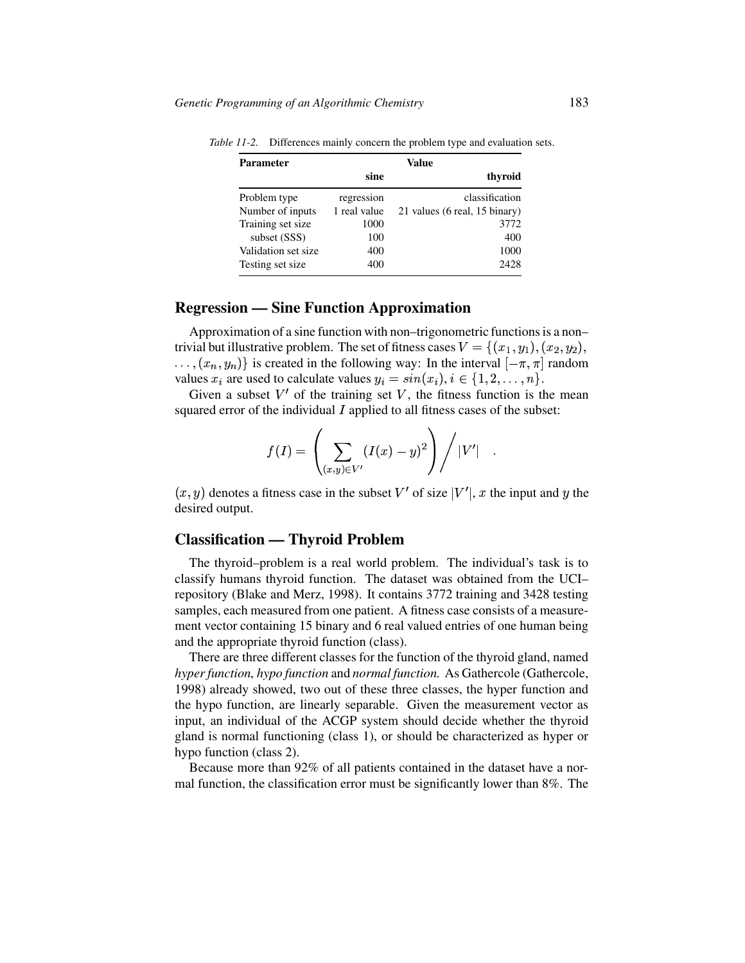| <b>Parameter</b>    | Value        |                               |
|---------------------|--------------|-------------------------------|
|                     | sine         | thyroid                       |
| Problem type        | regression   | classification                |
| Number of inputs    | 1 real value | 21 values (6 real, 15 binary) |
| Training set size   | 1000         | 3772                          |
| subset (SSS)        | 100          | 400                           |
| Validation set size | 400          | 1000                          |
| Testing set size    | 400          | 2428                          |

Table 11-2. Differences mainly concern the problem type and evaluation sets.

## Regression — Sine Function Approximation

Approximation of a sine function with non–trigonometric functions is a non– trivial but illustrative problem. The set of fitness cases  $V = \{(x_1, y_1), (x_2, y_2),$  $\{((x_n, y_n))\}$  is created in the following way: In the interval  $[-\pi, \pi]$  random values  $x_i$  are used to calculate values  $y_i = \sin(x_i), i \in \{1, 2, ..., n\}.$ 

Given a subset  $V'$  of the training set V, the fitness function is the mean squared error of the individual  $I$  applied to all fitness cases of the subset:

$$
f(I) = \left(\sum_{(x,y)\in V'} (I(x)-y)^2\right) / |V'| .
$$

 $(x, y)$  denotes a fitness case in the subset V' of size  $|V'|$ , x the input and y the desired output.

#### Classification — Thyroid Problem

The thyroid–problem is a real world problem. The individual's task is to classify humans thyroid function. The dataset was obtained from the UCI– repository (Blake and Merz, 1998). It contains 3772 training and 3428 testing samples, each measured from one patient. A fitness case consists of a measurement vector containing 15 binary and 6 real valued entries of one human being and the appropriate thyroid function (class).

There are three different classes for the function of the thyroid gland, named hyper function, hypo function and normal function. As Gathercole (Gathercole, 1998) already showed, two out of these three classes, the hyper function and the hypo function, are linearly separable. Given the measurement vector as input, an individual of the ACGP system should decide whether the thyroid gland is normal functioning (class 1), or should be characterized as hyper or hypo function (class 2).

Because more than 92% of all patients contained in the dataset have a normal function, the classification error must be significantly lower than 8%. The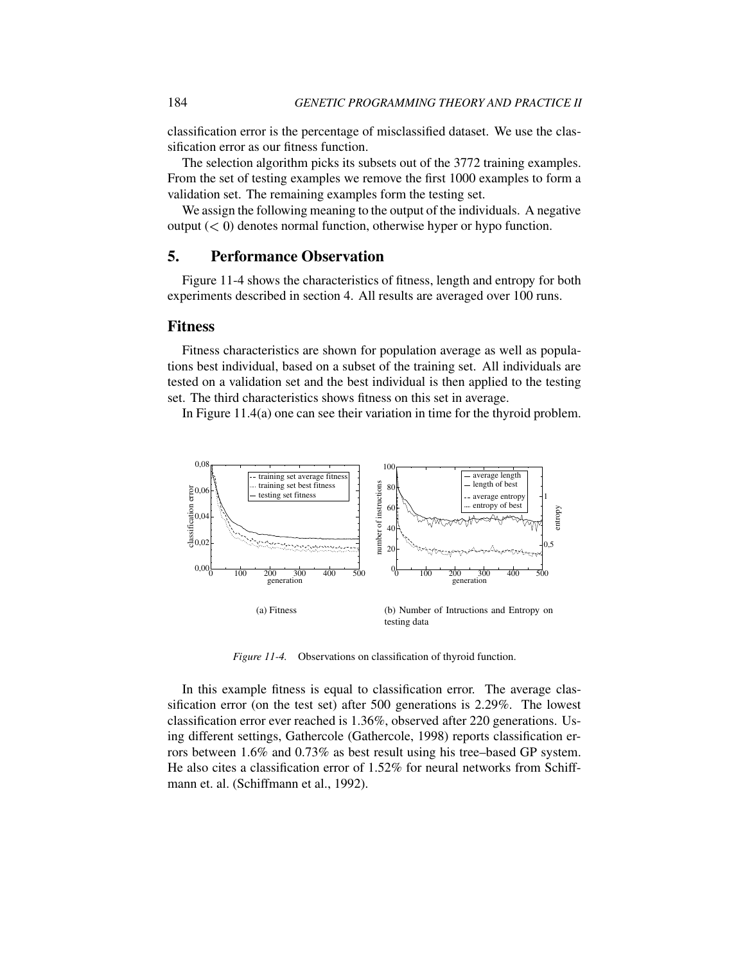classification error is the percentage of misclassified dataset. We use the classification error as our fitness function.

The selection algorithm picks its subsets out of the 3772 training examples. From the set of testing examples we remove the first 1000 examples to form a validation set. The remaining examples form the testing set.

We assign the following meaning to the output of the individuals. A negative output  $(< 0$ ) denotes normal function, otherwise hyper or hypo function.

## 5. Performance Observation

Figure 11-4 shows the characteristics of fitness, length and entropy for both experiments described in section 4. All results are averaged over 100 runs.

#### Fitness

Fitness characteristics are shown for population average as well as populations best individual, based on a subset of the training set. All individuals are tested on a validation set and the best individual is then applied to the testing set. The third characteristics shows fitness on this set in average.

In Figure 11.4(a) one can see their variation in time for the thyroid problem.



Figure 11-4. Observations on classification of thyroid function.

In this example fitness is equal to classification error. The average classification error (on the test set) after 500 generations is 2.29%. The lowest classification error ever reached is 1.36%, observed after 220 generations. Using different settings, Gathercole (Gathercole, 1998) reports classification errors between 1.6% and 0.73% as best result using his tree–based GP system. He also cites a classification error of 1.52% for neural networks from Schiffmann et. al. (Schiffmann et al., 1992).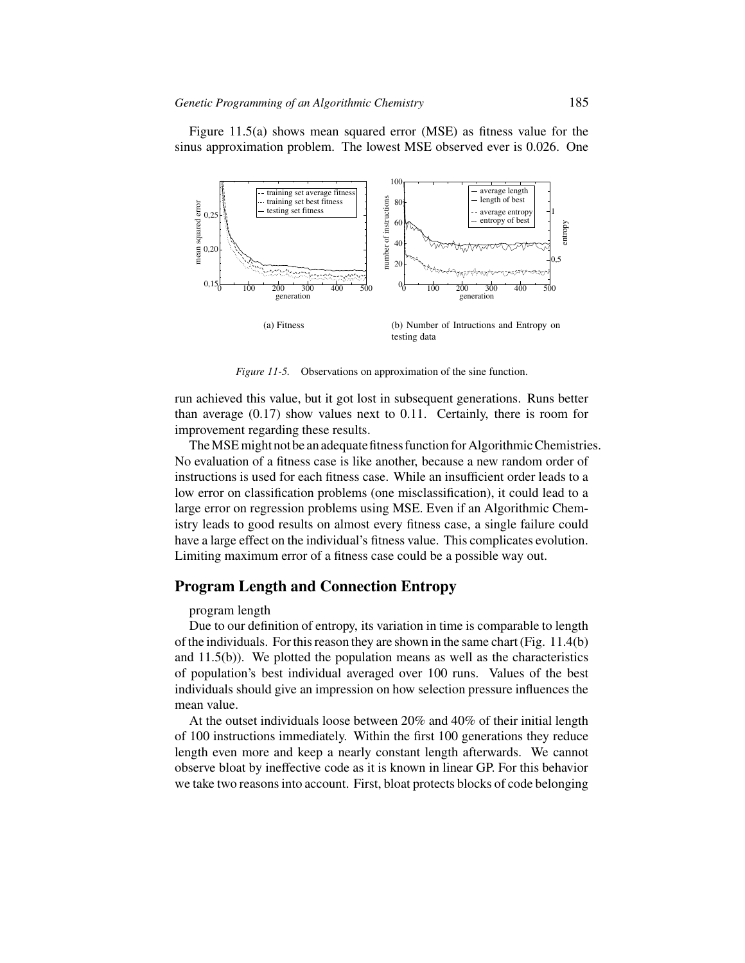Figure 11.5(a) shows mean squared error (MSE) as fitness value for the sinus approximation problem. The lowest MSE observed ever is 0.026. One



Figure 11-5. Observations on approximation of the sine function.

run achieved this value, but it got lost in subsequent generations. Runs better than average (0.17) show values next to 0.11. Certainly, there is room for improvement regarding these results.

The MSE might not be an adequate fitness function for Algorithmic Chemistries. No evaluation of a fitness case is like another, because a new random order of instructions is used for each fitness case. While an insufficient order leads to a low error on classification problems (one misclassification), it could lead to a large error on regression problems using MSE. Even if an Algorithmic Chemistry leads to good results on almost every fitness case, a single failure could have a large effect on the individual's fitness value. This complicates evolution. Limiting maximum error of a fitness case could be a possible way out.

#### Program Length and Connection Entropy

program length

Due to our definition of entropy, its variation in time is comparable to length of the individuals. For this reason they are shown in the same chart (Fig.  $11.4(b)$ ) and  $11.5(b)$ . We plotted the population means as well as the characteristics of population's best individual averaged over 100 runs. Values of the best individuals should give an impression on how selection pressure influences the mean value.

At the outset individuals loose between 20% and 40% of their initial length of 100 instructions immediately. Within the first 100 generations they reduce length even more and keep a nearly constant length afterwards. We cannot observe bloat by ineffective code as it is known in linear GP. For this behavior we take two reasonsinto account. First, bloat protects blocks of code belonging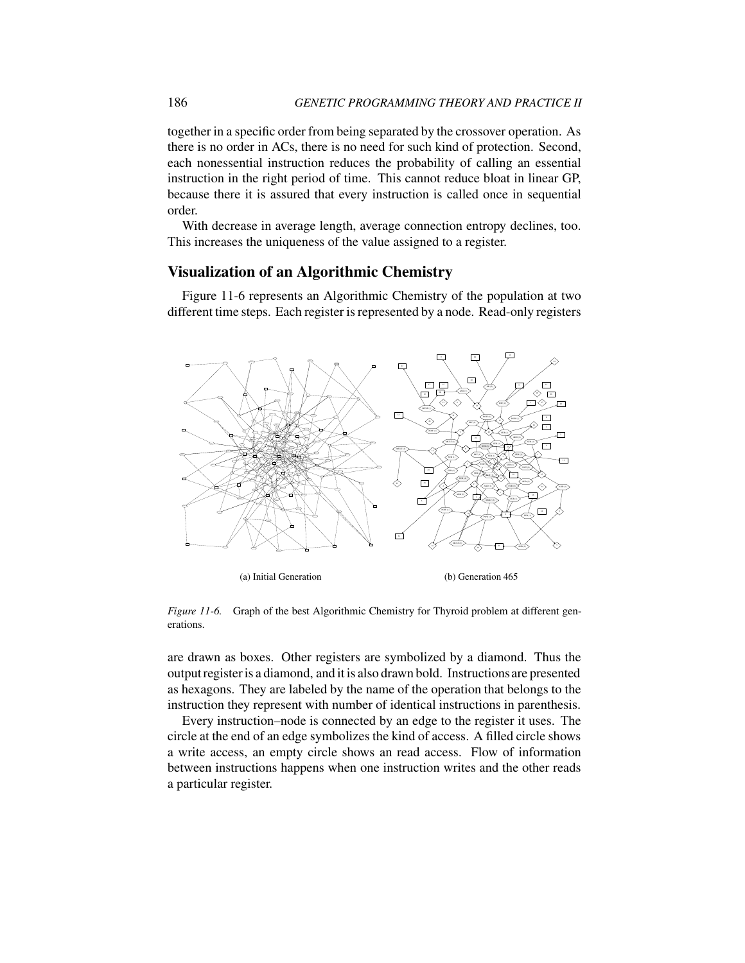together in a specific order from being separated by the crossover operation. As there is no order in ACs, there is no need for such kind of protection. Second, each nonessential instruction reduces the probability of calling an essential instruction in the right period of time. This cannot reduce bloat in linear GP, because there it is assured that every instruction is called once in sequential order.

With decrease in average length, average connection entropy declines, too. This increases the uniqueness of the value assigned to a register.

## Visualization of an Algorithmic Chemistry

Figure 11-6 represents an Algorithmic Chemistry of the population at two different time steps. Each register is represented by a node. Read-only registers



(a) Initial Generation

(b) Generation 465

Figure 11-6. Graph of the best Algorithmic Chemistry for Thyroid problem at different generations.

are drawn as boxes. Other registers are symbolized by a diamond. Thus the outputregisteris a diamond, and it is also drawn bold. Instructionsare presented as hexagons. They are labeled by the name of the operation that belongs to the instruction they represent with number of identical instructions in parenthesis.

Every instruction–node is connected by an edge to the register it uses. The circle at the end of an edge symbolizes the kind of access. A filled circle shows a write access, an empty circle shows an read access. Flow of information between instructions happens when one instruction writes and the other reads a particular register.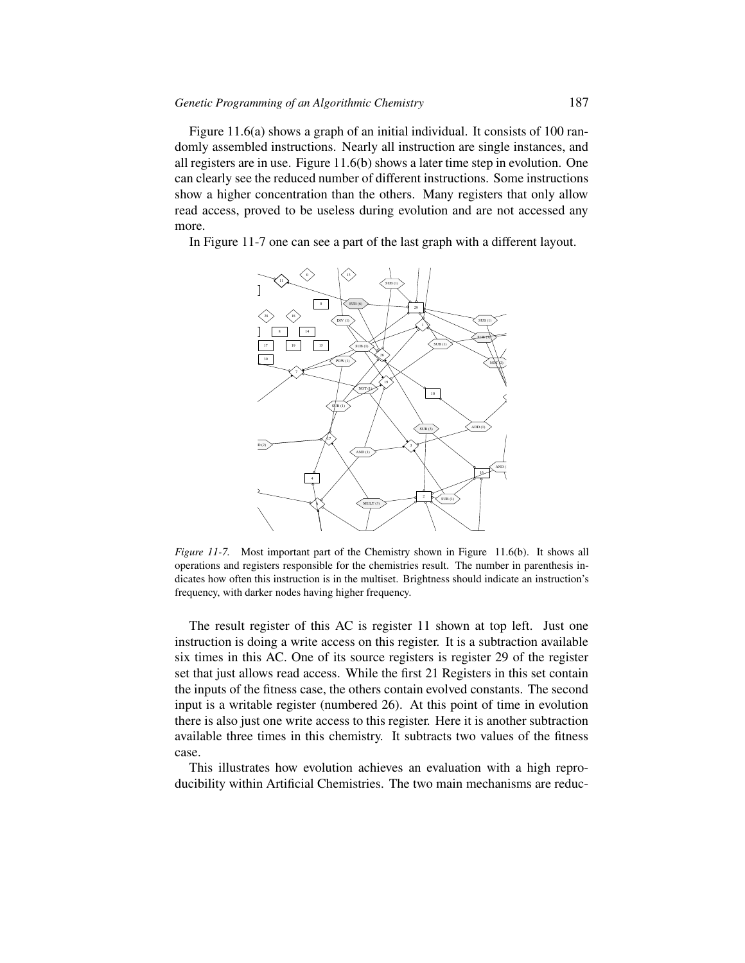Figure 11.6(a) shows a graph of an initial individual. It consists of 100 ran-1 domly assembled instructions. Nearly all instruction are single instances, and all registers are in use. Figure 11.6(b) shows a later time step in evolution. One can clearly see the reduced number of different instructions. Some instructions show a higher concentration than the others. Many registers that only allow read access, proved to be useless during evolution and are not accessed any more.

In Figure 11-7 one can see a part of the last graph with a different layout.



dicates how often this instruction is in the multiset. Brightness should indicate an instruction's Figure 11-7. Most important part of the Chemistry shown in Figure 11.6(b). It shows all frequency, with darker nodes having higher frequency. operations and registers responsible for the chemistries result. The number in parenthesis in-

The result register of this AC is register 11 shown at top left. Just one instruction is doing a write access on this register. It is a subtraction available six times in this AC. One of its source registers is register 29 of the register set that just allows read access. While the first 21 Registers in this set contain the inputs of the fitness case, the others contain evolved constants. The second input is a writable register (numbered 26). At this point of time in evolution there is also just one write access to this register. Here it is another subtraction available three times in this chemistry. It subtracts two values of the fitness case.

This illustrates how evolution achieves an evaluation with a high reproducibility within Artificial Chemistries. The two main mechanisms are reduc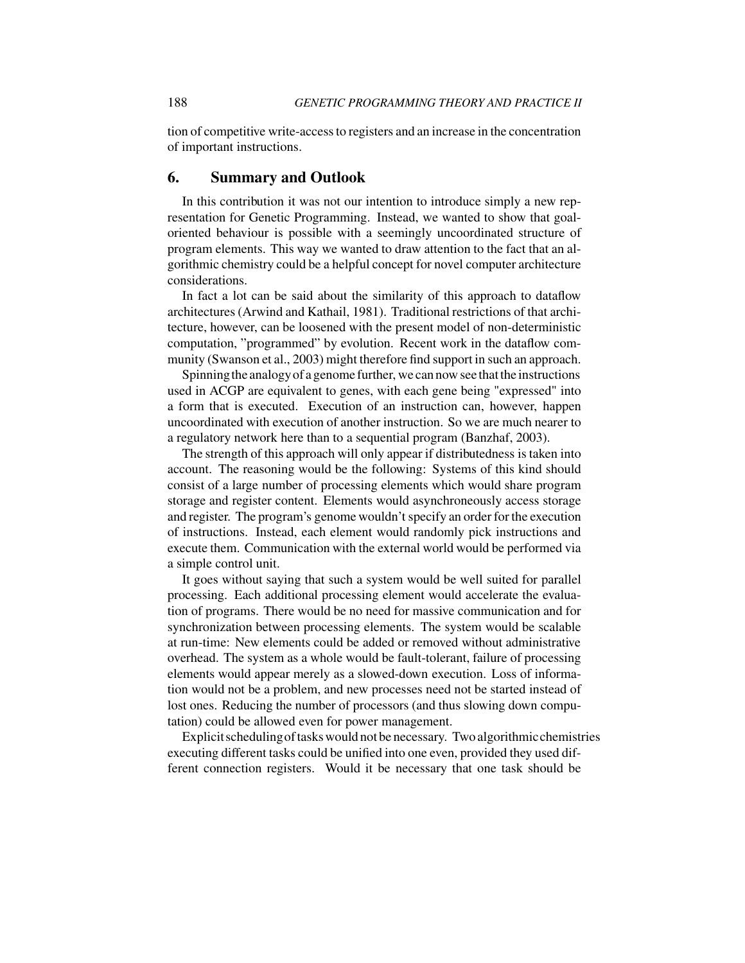tion of competitive write-accessto registers and an increase in the concentration of important instructions.

#### 6. Summary and Outlook

In this contribution it was not our intention to introduce simply a new representation for Genetic Programming. Instead, we wanted to show that goaloriented behaviour is possible with a seemingly uncoordinated structure of program elements. This way we wanted to draw attention to the fact that an algorithmic chemistry could be a helpful concept for novel computer architecture considerations.

In fact a lot can be said about the similarity of this approach to dataflow architectures(Arwind and Kathail, 1981). Traditional restrictions of that architecture, however, can be loosened with the present model of non-deterministic computation, "programmed" by evolution. Recent work in the dataflow community (Swanson et al., 2003) might therefore find support in such an approach.

Spinning the analogy of a genome further, we can now see that the instructions used in ACGP are equivalent to genes, with each gene being "expressed" into a form that is executed. Execution of an instruction can, however, happen uncoordinated with execution of another instruction. So we are much nearer to a regulatory network here than to a sequential program (Banzhaf, 2003).

The strength of this approach will only appear if distributedness is taken into account. The reasoning would be the following: Systems of this kind should consist of a large number of processing elements which would share program storage and register content. Elements would asynchroneously access storage and register. The program's genome wouldn't specify an orderfor the execution of instructions. Instead, each element would randomly pick instructions and execute them. Communication with the external world would be performed via a simple control unit.

It goes without saying that such a system would be well suited for parallel processing. Each additional processing element would accelerate the evaluation of programs. There would be no need for massive communication and for synchronization between processing elements. The system would be scalable at run-time: New elements could be added or removed without administrative overhead. The system as a whole would be fault-tolerant, failure of processing elements would appear merely as a slowed-down execution. Loss of information would not be a problem, and new processes need not be started instead of lost ones. Reducing the number of processors (and thus slowing down computation) could be allowed even for power management.

Explicitschedulingoftaskswould not be necessary. Two algorithmicchemistries executing different tasks could be unified into one even, provided they used different connection registers. Would it be necessary that one task should be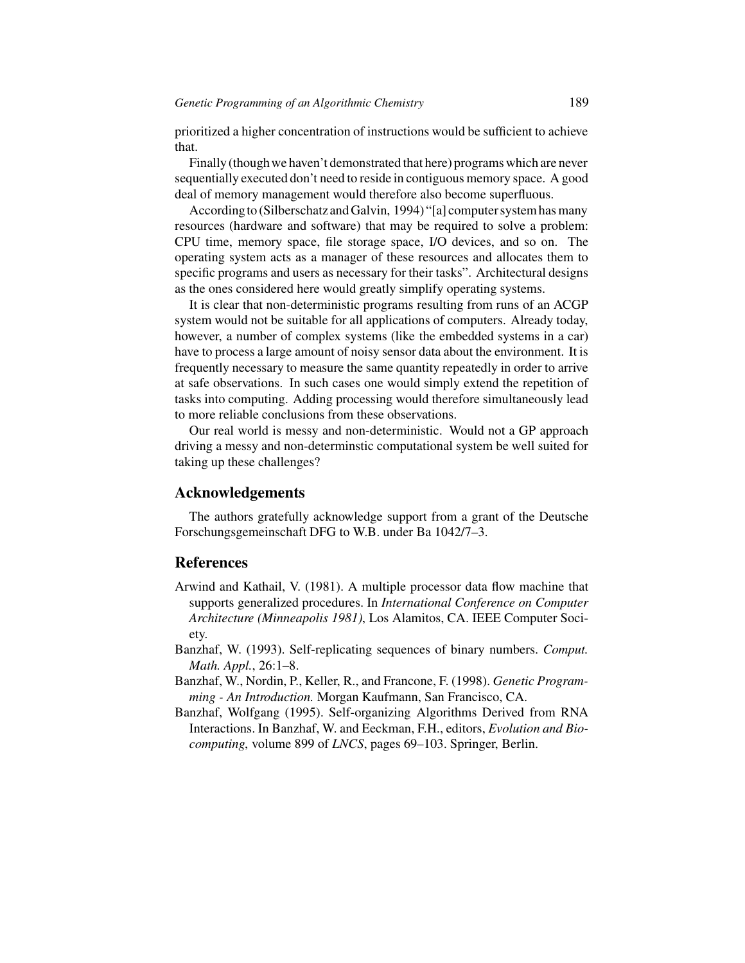prioritized a higher concentration of instructions would be sufficient to achieve that.

Finally (thoughwe haven't demonstrated that here) programswhich are never sequentially executed don't need to reside in contiguous memory space. A good deal of memory management would therefore also become superfluous.

According to (Silberschatz and Galvin, 1994) "[a] computer system has many resources (hardware and software) that may be required to solve a problem: CPU time, memory space, file storage space, I/O devices, and so on. The operating system acts as a manager of these resources and allocates them to specific programs and users as necessary for their tasks". Architectural designs as the ones considered here would greatly simplify operating systems.

It is clear that non-deterministic programs resulting from runs of an ACGP system would not be suitable for all applications of computers. Already today, however, a number of complex systems (like the embedded systems in a car) have to process a large amount of noisy sensor data about the environment. It is frequently necessary to measure the same quantity repeatedly in order to arrive at safe observations. In such cases one would simply extend the repetition of tasks into computing. Adding processing would therefore simultaneously lead to more reliable conclusions from these observations.

Our real world is messy and non-deterministic. Would not a GP approach driving a messy and non-determinstic computational system be well suited for taking up these challenges?

#### Acknowledgements

The authors gratefully acknowledge support from a grant of the Deutsche Forschungsgemeinschaft DFG to W.B. under Ba 1042/7–3.

#### References

- Arwind and Kathail, V. (1981). A multiple processor data flow machine that supports generalized procedures. In International Conference on Computer Architecture (Minneapolis 1981), Los Alamitos, CA. IEEE Computer Society.
- Banzhaf, W. (1993). Self-replicating sequences of binary numbers. Comput. Math. Appl., 26:1–8.
- Banzhaf, W., Nordin, P., Keller, R., and Francone, F. (1998). Genetic Programming - An Introduction. Morgan Kaufmann, San Francisco, CA.
- Banzhaf, Wolfgang (1995). Self-organizing Algorithms Derived from RNA Interactions. In Banzhaf, W. and Eeckman, F.H., editors, Evolution and Biocomputing, volume 899 of LNCS, pages 69–103. Springer, Berlin.